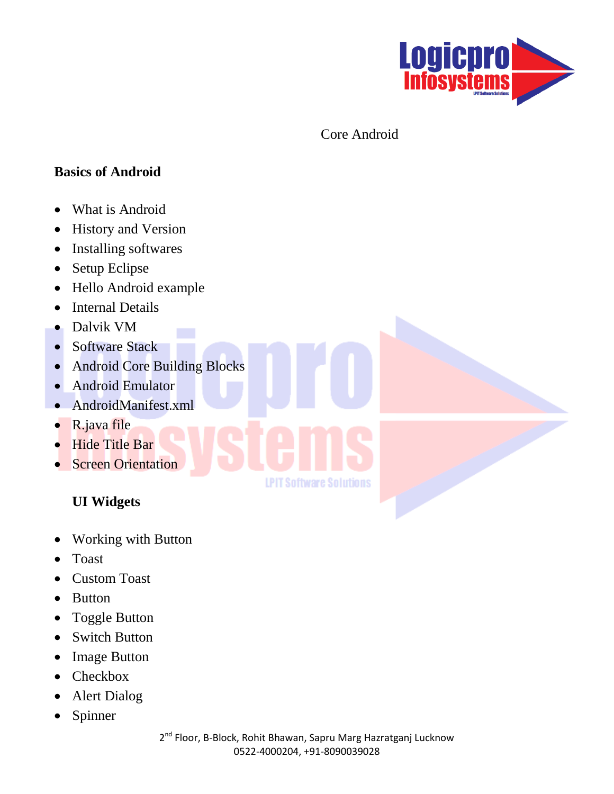

Core Android

#### **Basics of Android**

- What is Android
- History and Version
- Installing softwares
- Setup Eclipse
- Hello Android example
- Internal Details
- Dalvik VM
- Software Stack
- Android Core Building Blocks
- Android Emulator
- AndroidManifest.xml
- R.java file
- Hide Title Bar
- Screen Orientation

### **UI Widgets**

- Working with Button
- Toast
- Custom Toast
- Button
- Toggle Button
- Switch Button
- Image Button
- Checkbox
- Alert Dialog
- Spinner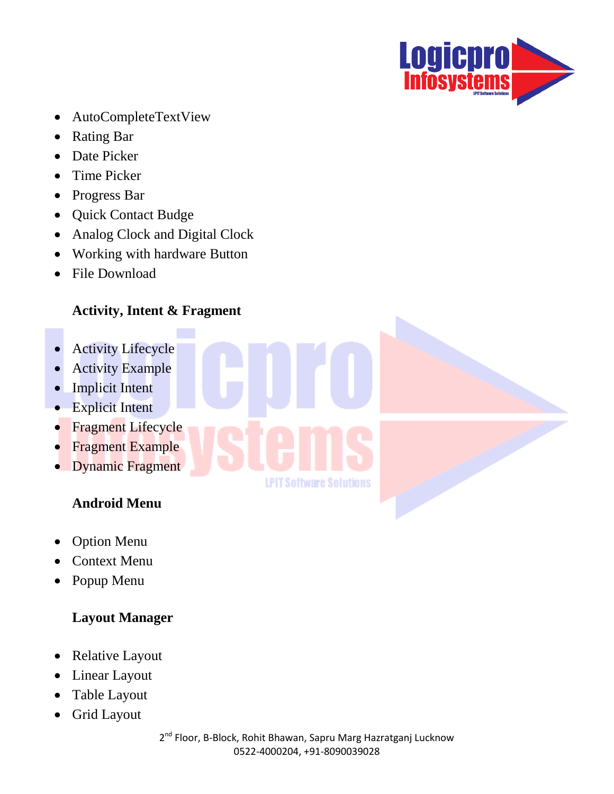

- AutoCompleteTextView
- Rating Bar
- Date Picker
- Time Picker
- Progress Bar
- Quick Contact Budge
- Analog Clock and Digital Clock
- Working with hardware Button
- File Download

# **Activity, Intent & Fragment**

- **•** Activity Lifecycle
- Activity Example
- Implicit Intent
- Explicit Intent
- Fragment Lifecycle
- Fragment Example
- Dynamic Fragment

# **Android Menu**

- Option Menu
- Context Menu
- Popup Menu

### **Layout Manager**

- Relative Layout
- Linear Layout
- Table Layout
- Grid Layout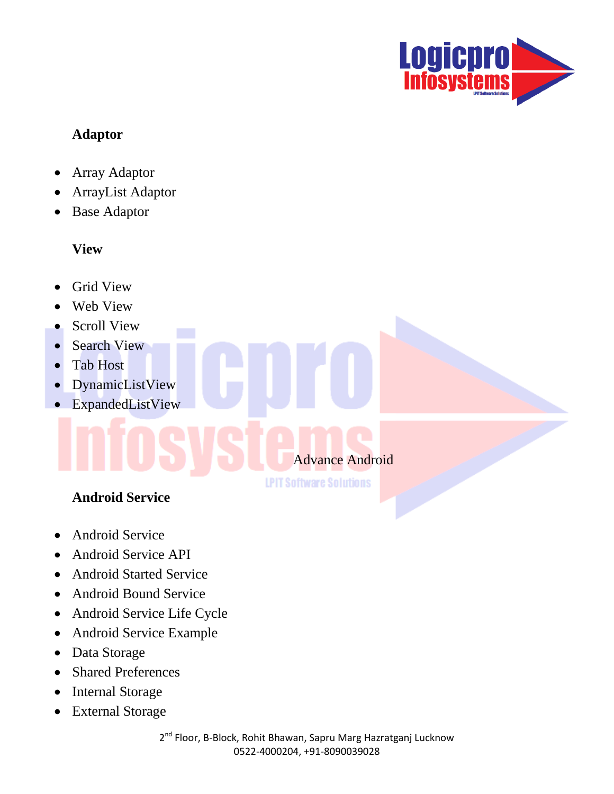

#### **Adaptor**

- Array Adaptor
- ArrayList Adaptor
- Base Adaptor

#### **View**

- Grid View
- Web View
- Scroll View
- Search View
- Tab Host
- DynamicListView
- ExpandedListView

# Advance Android

**LPIT Software Solutions** 

# **Android Service**

- Android Service
- Android Service API
- Android Started Service
- Android Bound Service
- Android Service Life Cycle
- Android Service Example
- Data Storage
- Shared Preferences
- Internal Storage
- External Storage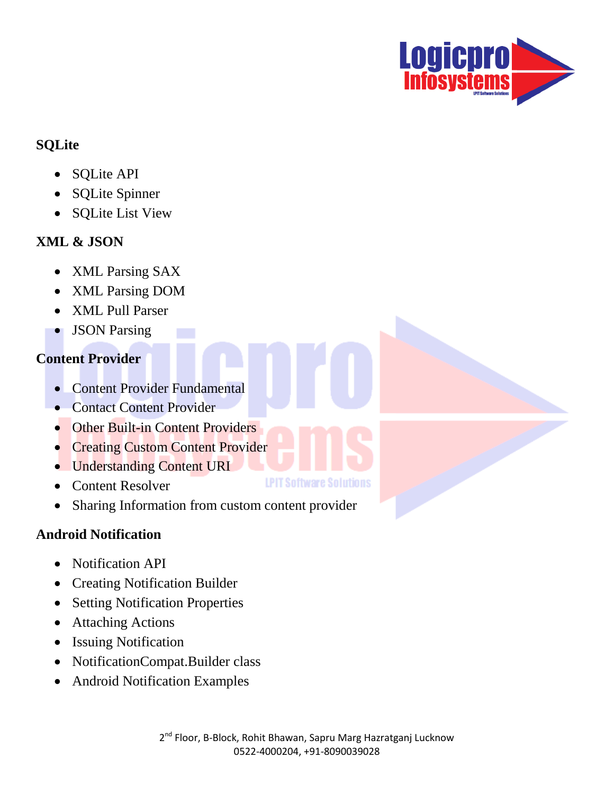

### **SQLite**

- SQLite API
- SQLite Spinner
- SQLite List View

# **XML & JSON**

- XML Parsing SAX
- XML Parsing DOM
- XML Pull Parser
- JSON Parsing

# **Content Provider**

- Content Provider Fundamental
- Contact Content Provider
- Other Built-in Content Providers
- **Creating Custom Content Provider**
- Understanding Content URI
- Content Resolver
- Sharing Information from custom content provider

# **Android Notification**

- Notification API
- Creating Notification Builder
- Setting Notification Properties
- Attaching Actions
- Issuing Notification
- NotificationCompat.Builder class
- Android Notification Examples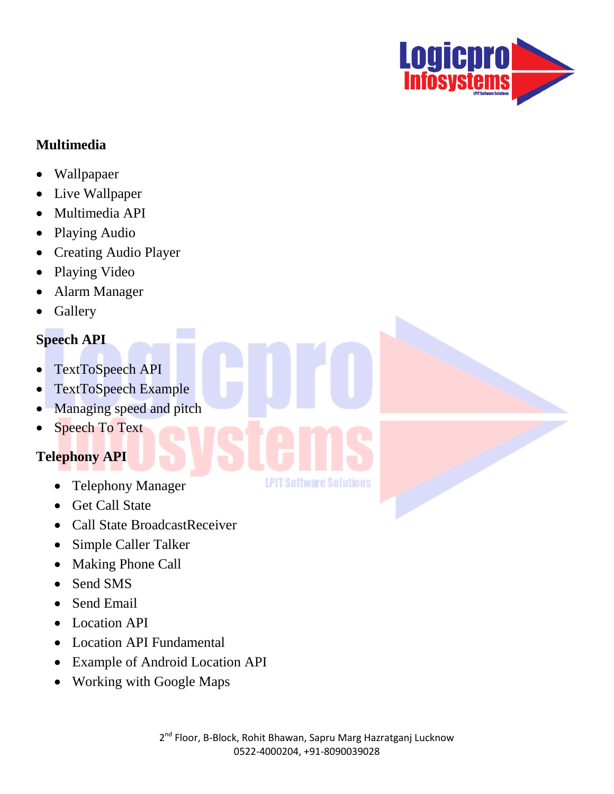

#### **Multimedia**

- Wallpapaer
- Live Wallpaper
- Multimedia API
- Playing Audio
- Creating Audio Player
- Playing Video
- Alarm Manager
- Gallery

### **Speech API**

- TextToSpeech API
- TextToSpeech Example
- Managing speed and pitch
- Speech To Text

# **Telephony API**

- Telephony Manager
- Get Call State
- Call State BroadcastReceiver
- Simple Caller Talker
- Making Phone Call
- Send SMS
- Send Email
- Location API
- Location API Fundamental
- Example of Android Location API
- Working with Google Maps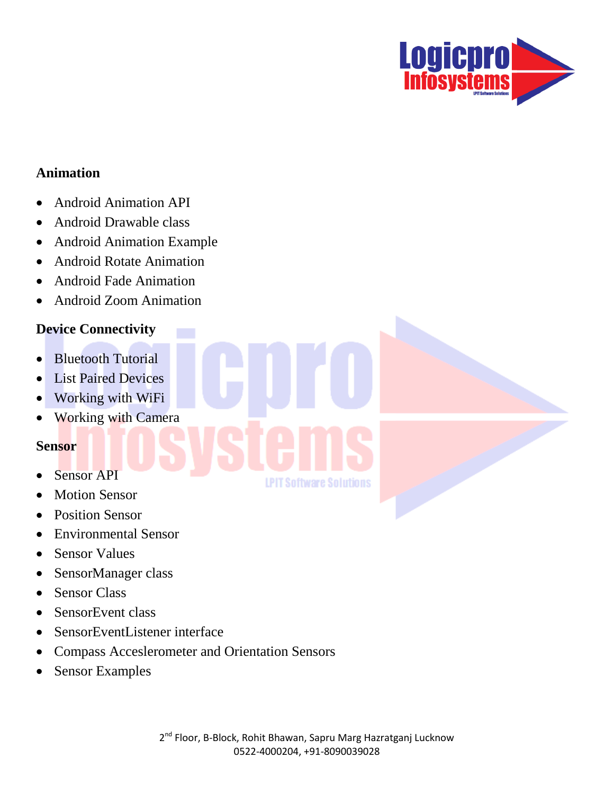

#### **Animation**

- Android Animation API
- Android Drawable class
- Android Animation Example
- Android Rotate Animation
- Android Fade Animation
- Android Zoom Animation

#### **Device Connectivity**

- Bluetooth Tutorial
- List Paired Devices
- Working with WiFi
- Working with Camera

#### **Sensor**

- Sensor API
- Motion Sensor
- Position Sensor
- Environmental Sensor
- Sensor Values
- SensorManager class
- Sensor Class
- SensorEvent class
- SensorEventListener interface
- Compass Acceslerometer and Orientation Sensors
- Sensor Examples